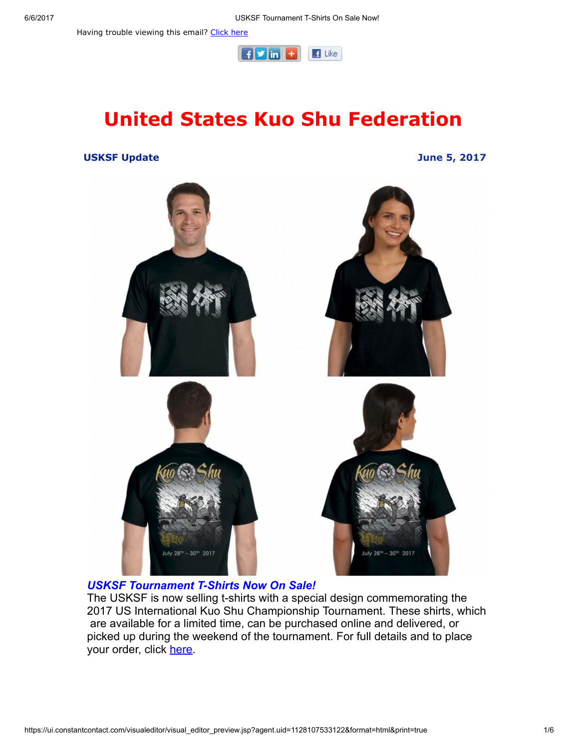Having trouble viewing this email? [Click](http://campaign.r20.constantcontact.com/render?ca=338c3a56-cf2f-4fa3-b6dc-d9ce5d3e189c&preview=true&m=1101951016402&id=preview) here



# United States Kuo Shu Federation

#### USKSF Update June 5, 2017



#### **USKSF Tournament T-Shirts Now On Sale!**

The USKSF is now selling t-shirts with a special design commemorating the 2017 US International Kuo Shu Championship Tournament. These shirts, which are available for a limited time, can be purchased online and delivered, or picked up during the weekend of the tournament. For full details and to place your order, click [here.](https://usksf.org/tshirts/)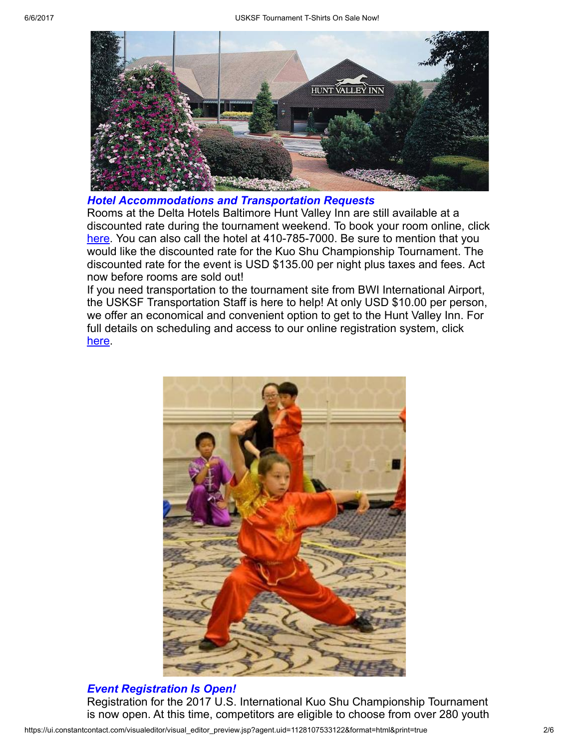

Hotel Accommodations and Transportation Requests

Rooms at the Delta Hotels Baltimore Hunt Valley Inn are still available at a discounted rate during the tournament weekend. To book your room online, click [here](http://www.marriott.com/meeting-event-hotels/group-corporate-travel/groupCorp.mi?resLinkData=Kuo%20Shu%20Championship%20Tournament%5Ebwidh%60ks1ks1a%7Cks1ks1b%60135%60USD%60false%604%607/26/17%607/31/17%607/5/17&app=resvlink&stop_mobi=yes). You can also call the hotel at 410-785-7000. Be sure to mention that you would like the discounted rate for the Kuo Shu Championship Tournament. The discounted rate for the event is USD \$135.00 per night plus taxes and fees. Act now before rooms are sold out!

If you need transportation to the tournament site from BWI International Airport, the USKSF Transportation Staff is here to help! At only USD \$10.00 per person, we offer an economical and convenient option to get to the Hunt Valley Inn. For full details on scheduling and access to our online registration system, click [here](https://usksf.org/transportation-and-accommodations/).



### Event Registration Is Open!

Registration for the 2017 U.S. International Kuo Shu Championship Tournament is now open. At this time, competitors are eligible to choose from over 280 youth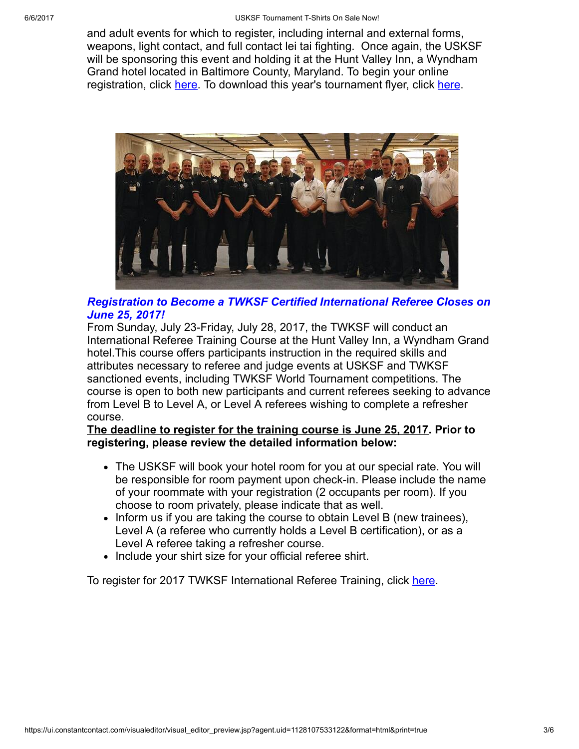and adult events for which to register, including internal and external forms, weapons, light contact, and full contact lei tai fighting. Once again, the USKSF will be sponsoring this event and holding it at the Hunt Valley Inn, a Wyndham Grand hotel located in Baltimore County, Maryland. To begin your online registration, click [here.](http://www.wu-kui-tang.com/usksf/registration/welcome.aspx) To download this year's tournament flyer, click [here](http://usksf.org/the-2017-kuo-shu-tournament-flyer-now-available/).



### Registration to Become a TWKSF Certified International Referee Closes on June 25, 2017!

From Sunday, July 23-Friday, July 28, 2017, the TWKSF will conduct an International Referee Training Course at the Hunt Valley Inn, a Wyndham Grand hotel.This course offers participants instruction in the required skills and attributes necessary to referee and judge events at USKSF and TWKSF sanctioned events, including TWKSF World Tournament competitions. The course is open to both new participants and current referees seeking to advance from Level B to Level A, or Level A referees wishing to complete a refresher course.

The deadline to register for the training course is June 25, 2017. Prior to registering, please review the detailed information below:

- The USKSF will book your hotel room for you at our special rate. You will be responsible for room payment upon check-in. Please include the name of your roommate with your registration (2 occupants per room). If you choose to room privately, please indicate that as well.
- Inform us if you are taking the course to obtain Level B (new trainees), Level A (a referee who currently holds a Level B certification), or as a Level A referee taking a refresher course.
- Include your shirt size for your official referee shirt.

To register for 2017 TWKSF International Referee Training, click [here](http://www.wu-kui-tang.com/usksf/registration/welcome.aspx).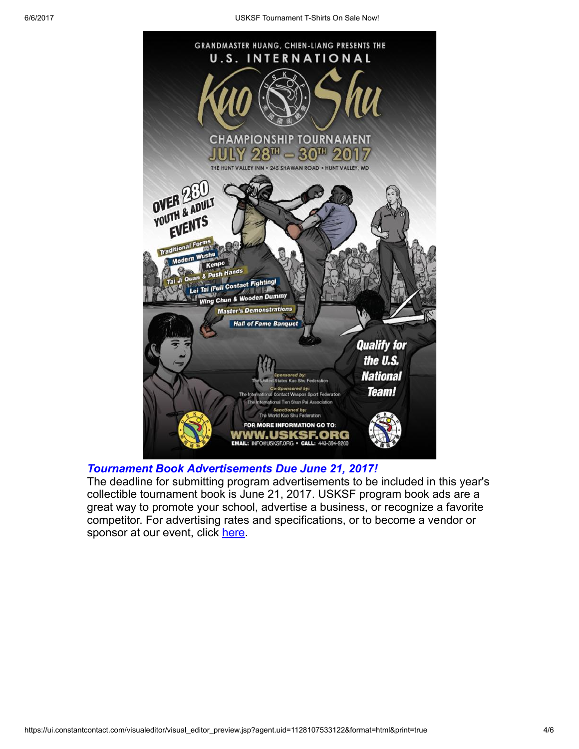

### Tournament Book Advertisements Due June 21, 2017!

The deadline for submitting program advertisements to be included in this year's collectible tournament book is June 21, 2017. USKSF program book ads are a great way to promote your school, advertise a business, or recognize a favorite competitor. For advertising rates and specifications, or to become a vendor or sponsor at our event, click [here](https://usksf.org/tournament-book-advertisement/).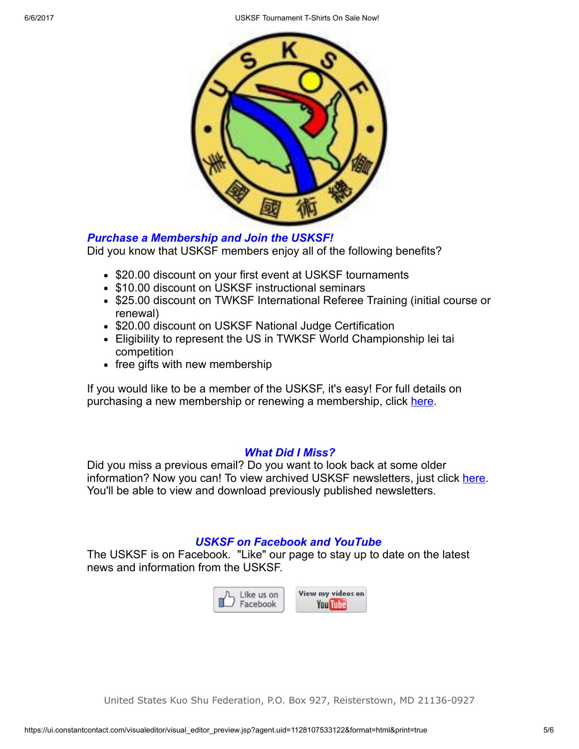6/6/2017 USKSF Tournament TShirts On Sale Now!



#### Purchase a Membership and Join the USKSF!

Did you know that USKSF members enjoy all of the following benefits?

- \$20.00 discount on your first event at USKSF tournaments
- \$10.00 discount on USKSF instructional seminars
- \$25.00 discount on TWKSF International Referee Training (initial course or renewal)
- \$20.00 discount on USKSF National Judge Certification
- Eligibility to represent the US in TWKSF World Championship lei tai competition
- free gifts with new membership

If you would like to be a member of the USKSF, it's easy! For full details on purchasing a new membership or renewing a membership, click [here.](https://usksf.org/membership/)

#### What Did I Miss?

Did you miss a previous email? Do you want to look back at some older information? Now you can! To view archived USKSF newsletters, just click [here](https://usksf.org/usksf-newsletters/). You'll be able to view and download previously published newsletters.

## USKSF on Facebook and YouTube

The USKSF is on Facebook. "Like" our page to stay up to date on the latest news and information from the USKSF.



United States Kuo Shu Federation, P.O. Box 927, Reisterstown, MD 21136-0927